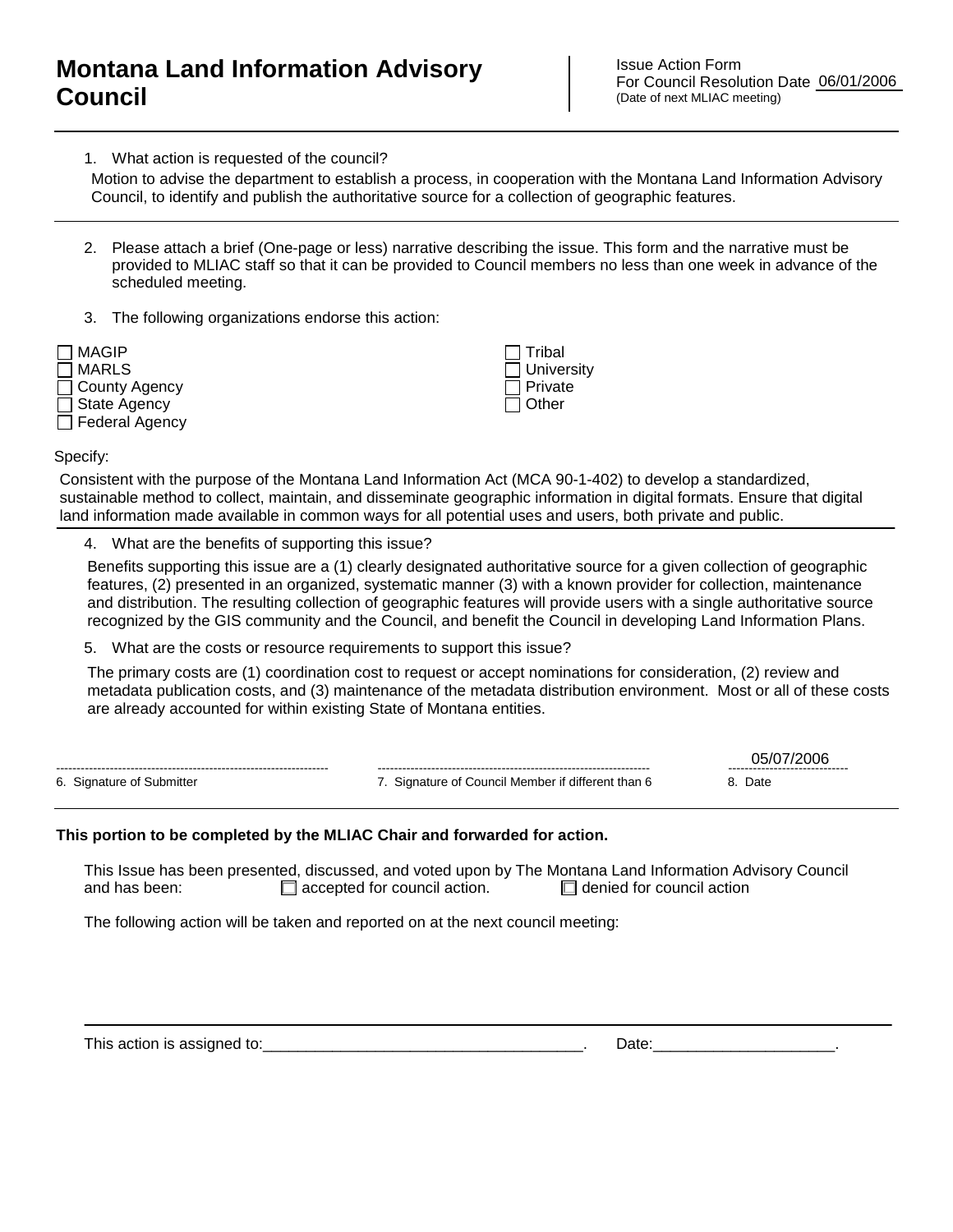## **Montana Land Information Advisory Council**

Issue Action Form For Council Resolution Date 06/01/2006 (Date of next MLIAC meeting)

1. What action is requested of the council?

Council, to identify and publish the authoritative source for a collection of geographic features.

- 2. Please attach a brief (One-page or less) narrative describing the issue. This form and the narrative must be provided to MLIAC staff so that it can be provided to Council members no less than one week in advance of the scheduled meeting.
- 3. The following organizations endorse this action:



 Tribal **University**  Private  $\Box$  Other

Specify:

Consistent with the purpose of the Montana Land Information Act (MCA 90-1-402) to develop a standardized, sustainable method to collect, maintain, and disseminate geographic information in digital formats. Ensure that digital land information made available in common ways for all potential uses and users, both private and public.

4. What are the benefits of supporting this issue?

Benefits supporting this issue are a (1) clearly designated authoritative source for a given collection of geographic features, (2) presented in an organized, systematic manner (3) with a known provider for collection, maintenance and distribution. The resulting collection of geographic features will provide users with a single authoritative source recognized by the GIS community and the Council, and benefit the Council in developing Land Information Plans. Motion to advise the department to establish a process, in coperation with the Montana Land Information<br>
Council, to identify and publish the authoritative source for a collection of geographic features.<br>
Provided to MLIAC

5. What are the costs or resource requirements to support this issue?

The primary costs are (1) coordination cost to request or accept nominations for consideration, (2) review and metadata publication costs, and (3) maintenance of the metadata distribution environment. Most or all of these costs

|                           |                                                 | ------------------------------- |
|---------------------------|-------------------------------------------------|---------------------------------|
| 6. Signature of Submitter | Signature of Council Member if different than 6 | Date                            |

## **This portion to be completed by the MLIAC Chair and forwarded for action.**

This Issue has been presented, discussed, and voted upon by The Montana Land Information Advisory Council and has been:  $\Box$  accepted for council action.  $\Box$  denied for council action

The following action will be taken and reported on at the next council meeting:

This action is assigned to:\_\_\_\_\_\_\_\_\_\_\_\_\_\_\_\_\_\_\_\_\_\_\_\_\_\_\_\_\_\_\_\_\_\_\_\_\_. Date:\_\_\_\_\_\_\_\_\_\_\_\_\_\_\_\_\_\_\_\_\_.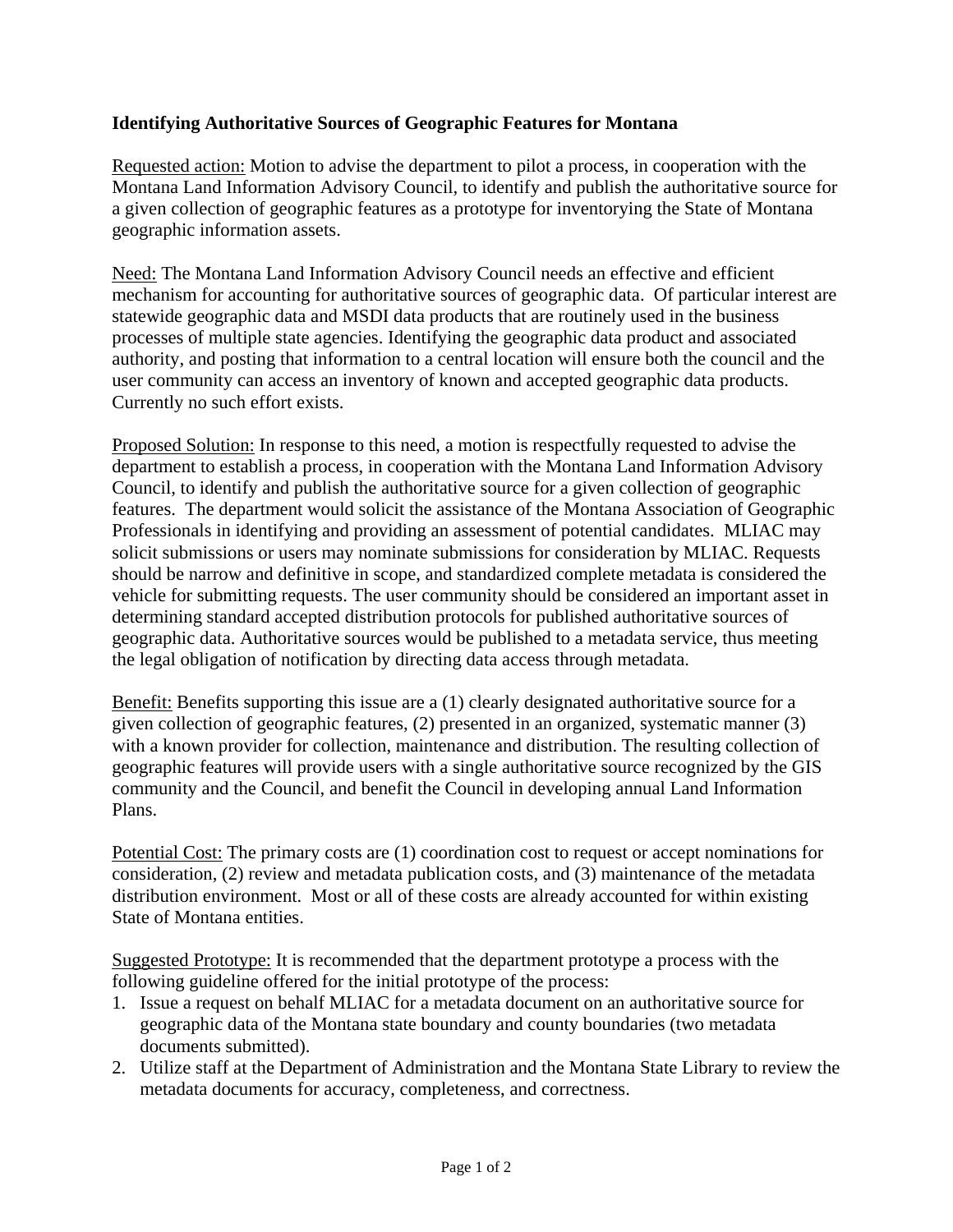## **Identifying Authoritative Sources of Geographic Features for Montana**

Requested action: Motion to advise the department to pilot a process, in cooperation with the Montana Land Information Advisory Council, to identify and publish the authoritative source for a given collection of geographic features as a prototype for inventorying the State of Montana geographic information assets.

Need: The Montana Land Information Advisory Council needs an effective and efficient mechanism for accounting for authoritative sources of geographic data. Of particular interest are statewide geographic data and MSDI data products that are routinely used in the business processes of multiple state agencies. Identifying the geographic data product and associated authority, and posting that information to a central location will ensure both the council and the user community can access an inventory of known and accepted geographic data products. Currently no such effort exists.

Proposed Solution: In response to this need, a motion is respectfully requested to advise the department to establish a process, in cooperation with the Montana Land Information Advisory Council, to identify and publish the authoritative source for a given collection of geographic features. The department would solicit the assistance of the Montana Association of Geographic Professionals in identifying and providing an assessment of potential candidates. MLIAC may solicit submissions or users may nominate submissions for consideration by MLIAC. Requests should be narrow and definitive in scope, and standardized complete metadata is considered the vehicle for submitting requests. The user community should be considered an important asset in determining standard accepted distribution protocols for published authoritative sources of geographic data. Authoritative sources would be published to a metadata service, thus meeting the legal obligation of notification by directing data access through metadata.

Benefit: Benefits supporting this issue are a (1) clearly designated authoritative source for a given collection of geographic features, (2) presented in an organized, systematic manner (3) with a known provider for collection, maintenance and distribution. The resulting collection of geographic features will provide users with a single authoritative source recognized by the GIS community and the Council, and benefit the Council in developing annual Land Information Plans.

Potential Cost: The primary costs are (1) coordination cost to request or accept nominations for consideration, (2) review and metadata publication costs, and (3) maintenance of the metadata distribution environment. Most or all of these costs are already accounted for within existing State of Montana entities.

Suggested Prototype: It is recommended that the department prototype a process with the following guideline offered for the initial prototype of the process:

- 1. Issue a request on behalf MLIAC for a metadata document on an authoritative source for geographic data of the Montana state boundary and county boundaries (two metadata documents submitted).
- 2. Utilize staff at the Department of Administration and the Montana State Library to review the metadata documents for accuracy, completeness, and correctness.